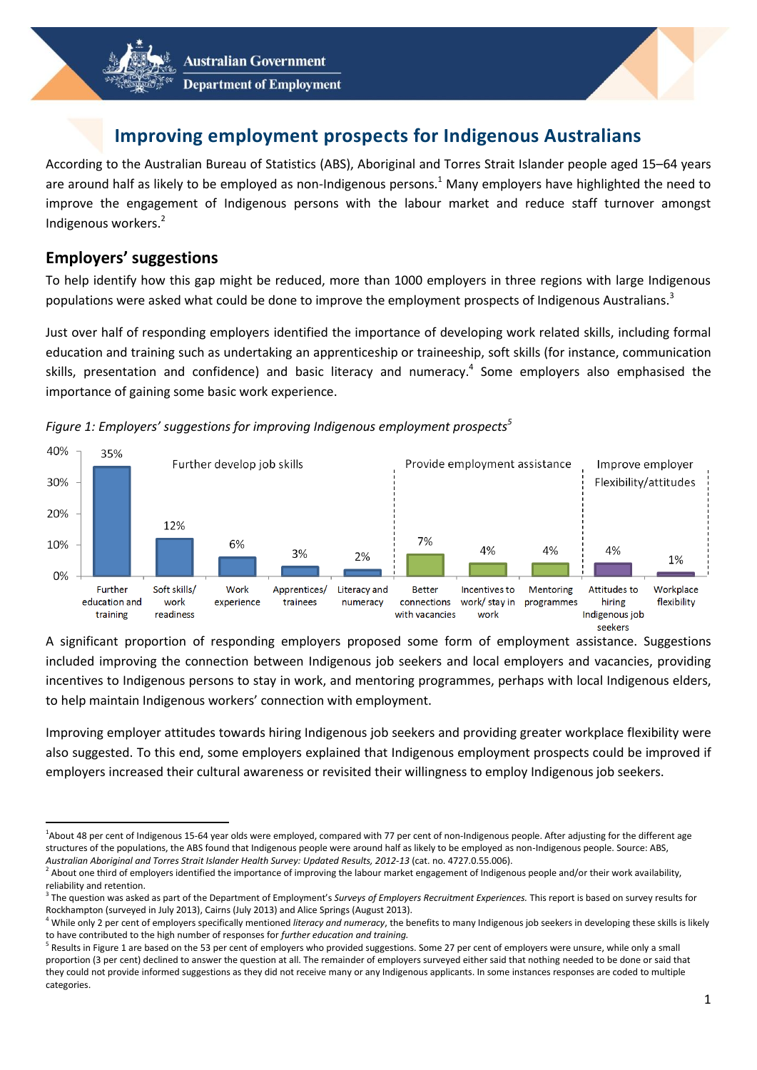



## **Improving employment prospects for Indigenous Australians**

According to the Australian Bureau of Statistics (ABS), Aboriginal and Torres Strait Islander people aged 15–64 years are around half as likely to be employed as non-Indigenous persons.<sup>1</sup> Many employers have highlighted the need to improve the engagement of Indigenous persons with the labour market and reduce staff turnover amongst Indigenous workers.<sup>2</sup>

## **Employers' suggestions**

 $\overline{a}$ 

To help identify how this gap might be reduced, more than 1000 employers in three regions with large Indigenous populations were asked what could be done to improve the employment prospects of Indigenous Australians.<sup>3</sup>

Just over half of responding employers identified the importance of developing work related skills, including formal education and training such as undertaking an apprenticeship or traineeship, soft skills (for instance, communication skills, presentation and confidence) and basic literacy and numeracy.<sup>4</sup> Some employers also emphasised the importance of gaining some basic work experience.



*Figure 1: Employers' suggestions for improving Indigenous employment prospects<sup>5</sup>*

A significant proportion of responding employers proposed some form of employment assistance. Suggestions included improving the connection between Indigenous job seekers and local employers and vacancies, providing incentives to Indigenous persons to stay in work, and mentoring programmes, perhaps with local Indigenous elders, to help maintain Indigenous workers' connection with employment.

Improving employer attitudes towards hiring Indigenous job seekers and providing greater workplace flexibility were also suggested. To this end, some employers explained that Indigenous employment prospects could be improved if employers increased their cultural awareness or revisited their willingness to employ Indigenous job seekers.

<sup>&</sup>lt;sup>1</sup>About 48 per cent of Indigenous 15-64 year olds were employed, compared with 77 per cent of non-Indigenous people. After adjusting for the different age structures of the populations, the ABS found that Indigenous people were around half as likely to be employed as non-Indigenous people. Source: ABS, *Australian Aboriginal and Torres Strait Islander Health Survey: Updated Results, 2012-13* (cat. no. 4727.0.55.006).

 $^2$  About one third of employers identified the importance of improving the labour market engagement of Indigenous people and/or their work availability, reliability and retention.

<sup>&</sup>lt;sup>3</sup> The question was asked as part of the Department of Employment's Surveys of Employers Recruitment Experiences. This report is based on survey results for Rockhampton (surveyed in July 2013), Cairns (July 2013) and Alice Springs (August 2013).

<sup>4</sup> While only 2 per cent of employers specifically mentioned *literacy and numeracy*, the benefits to many Indigenous job seekers in developing these skills is likely to have contributed to the high number of responses for *further education and training.*

<sup>&</sup>lt;sup>5</sup> Results in Figure 1 are based on the 53 per cent of employers who provided suggestions. Some 27 per cent of employers were unsure, while only a small proportion (3 per cent) declined to answer the question at all. The remainder of employers surveyed either said that nothing needed to be done or said that they could not provide informed suggestions as they did not receive many or any Indigenous applicants. In some instances responses are coded to multiple categories.